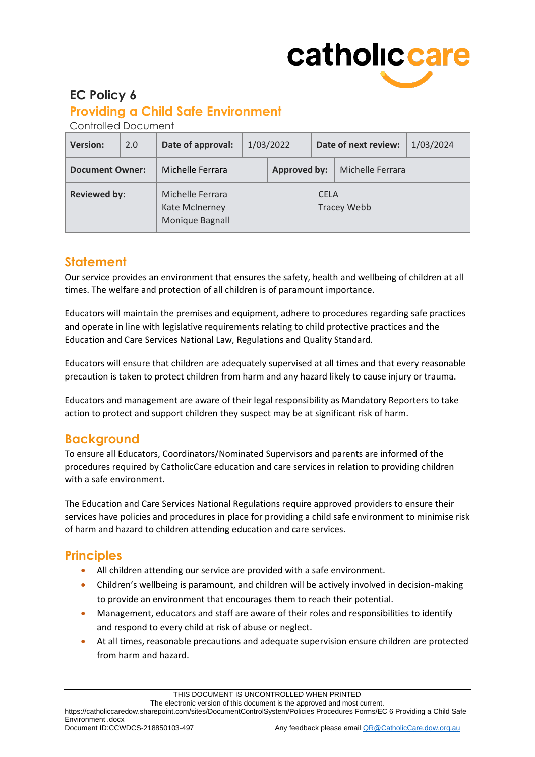# catholiccare

## **EC Policy 6**

## **Providing a Child Safe Environment**

Controlled Document

| <b>Version:</b>        | 2.0 | Date of approval:                                     |                                   | 1/03/2022 |  | Date of next review: | 1/03/2024 |
|------------------------|-----|-------------------------------------------------------|-----------------------------------|-----------|--|----------------------|-----------|
| <b>Document Owner:</b> |     | Michelle Ferrara                                      | <b>Approved by:</b>               |           |  | Michelle Ferrara     |           |
| <b>Reviewed by:</b>    |     | Michelle Ferrara<br>Kate McInerney<br>Monique Bagnall | <b>CELA</b><br><b>Tracey Webb</b> |           |  |                      |           |

## **Statement**

Our service provides an environment that ensures the safety, health and wellbeing of children at all times. The welfare and protection of all children is of paramount importance.

Educators will maintain the premises and equipment, adhere to procedures regarding safe practices and operate in line with legislative requirements relating to child protective practices and the Education and Care Services National Law, Regulations and Quality Standard.

Educators will ensure that children are adequately supervised at all times and that every reasonable precaution is taken to protect children from harm and any hazard likely to cause injury or trauma.

Educators and management are aware of their legal responsibility as Mandatory Reporters to take action to protect and support children they suspect may be at significant risk of harm.

# **Background**

To ensure all Educators, Coordinators/Nominated Supervisors and parents are informed of the procedures required by CatholicCare education and care services in relation to providing children with a safe environment.

The Education and Care Services National Regulations require approved providers to ensure their services have policies and procedures in place for providing a child safe environment to minimise risk of harm and hazard to children attending education and care services.

# **Principles**

- All children attending our service are provided with a safe environment.
- Children's wellbeing is paramount, and children will be actively involved in decision-making to provide an environment that encourages them to reach their potential.
- Management, educators and staff are aware of their roles and responsibilities to identify and respond to every child at risk of abuse or neglect.
- At all times, reasonable precautions and adequate supervision ensure children are protected from harm and hazard.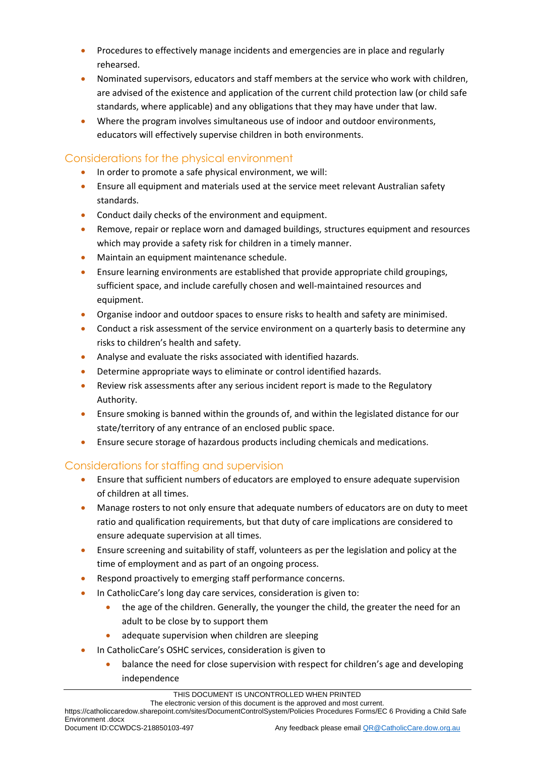- Procedures to effectively manage incidents and emergencies are in place and regularly rehearsed.
- Nominated supervisors, educators and staff members at the service who work with children, are advised of the existence and application of the current child protection law (or child safe standards, where applicable) and any obligations that they may have under that law.
- Where the program involves simultaneous use of indoor and outdoor environments, educators will effectively supervise children in both environments.

#### Considerations for the physical environment

- In order to promote a safe physical environment, we will:
- Ensure all equipment and materials used at the service meet relevant Australian safety standards.
- Conduct daily checks of the environment and equipment.
- Remove, repair or replace worn and damaged buildings, structures equipment and resources which may provide a safety risk for children in a timely manner.
- Maintain an equipment maintenance schedule.
- Ensure learning environments are established that provide appropriate child groupings, sufficient space, and include carefully chosen and well-maintained resources and equipment.
- Organise indoor and outdoor spaces to ensure risks to health and safety are minimised.
- Conduct a risk assessment of the service environment on a quarterly basis to determine any risks to children's health and safety.
- Analyse and evaluate the risks associated with identified hazards.
- Determine appropriate ways to eliminate or control identified hazards.
- Review risk assessments after any serious incident report is made to the Regulatory Authority.
- Ensure smoking is banned within the grounds of, and within the legislated distance for our state/territory of any entrance of an enclosed public space.
- Ensure secure storage of hazardous products including chemicals and medications.

## Considerations for staffing and supervision

- Ensure that sufficient numbers of educators are employed to ensure adequate supervision of children at all times.
- Manage rosters to not only ensure that adequate numbers of educators are on duty to meet ratio and qualification requirements, but that duty of care implications are considered to ensure adequate supervision at all times.
- Ensure screening and suitability of staff, volunteers as per the legislation and policy at the time of employment and as part of an ongoing process.
- Respond proactively to emerging staff performance concerns.
- In CatholicCare's long day care services, consideration is given to:
	- the age of the children. Generally, the younger the child, the greater the need for an adult to be close by to support them
	- adequate supervision when children are sleeping
- In CatholicCare's OSHC services, consideration is given to
	- balance the need for close supervision with respect for children's age and developing independence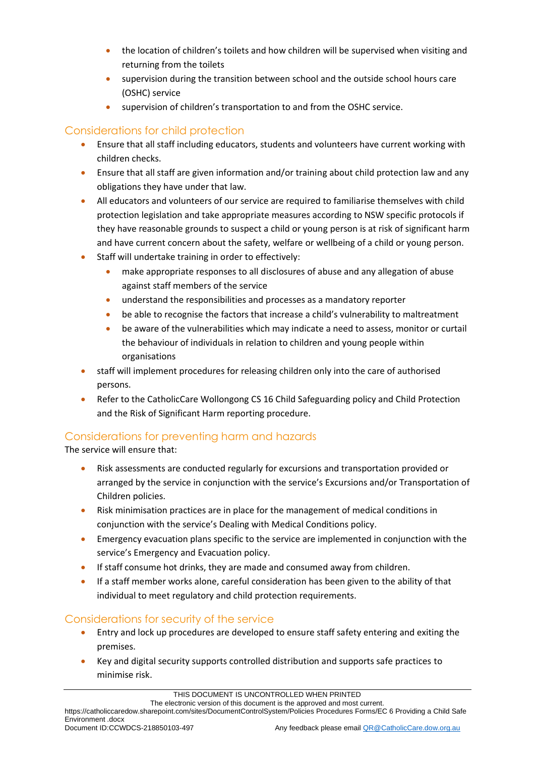- the location of children's toilets and how children will be supervised when visiting and returning from the toilets
- supervision during the transition between school and the outside school hours care (OSHC) service
- supervision of children's transportation to and from the OSHC service.

## Considerations for child protection

- Ensure that all staff including educators, students and volunteers have current working with children checks.
- Ensure that all staff are given information and/or training about child protection law and any obligations they have under that law.
- All educators and volunteers of our service are required to familiarise themselves with child protection legislation and take appropriate measures according to NSW specific protocols if they have reasonable grounds to suspect a child or young person is at risk of significant harm and have current concern about the safety, welfare or wellbeing of a child or young person.
- Staff will undertake training in order to effectively:
	- make appropriate responses to all disclosures of abuse and any allegation of abuse against staff members of the service
	- understand the responsibilities and processes as a mandatory reporter
	- be able to recognise the factors that increase a child's vulnerability to maltreatment
	- be aware of the vulnerabilities which may indicate a need to assess, monitor or curtail the behaviour of individuals in relation to children and young people within organisations
- staff will implement procedures for releasing children only into the care of authorised persons.
- Refer to the CatholicCare Wollongong CS 16 Child Safeguarding policy and Child Protection and the Risk of Significant Harm reporting procedure.

## Considerations for preventing harm and hazards

The service will ensure that:

- Risk assessments are conducted regularly for excursions and transportation provided or arranged by the service in conjunction with the service's Excursions and/or Transportation of Children policies.
- Risk minimisation practices are in place for the management of medical conditions in conjunction with the service's Dealing with Medical Conditions policy.
- Emergency evacuation plans specific to the service are implemented in conjunction with the service's Emergency and Evacuation policy.
- If staff consume hot drinks, they are made and consumed away from children.
- If a staff member works alone, careful consideration has been given to the ability of that individual to meet regulatory and child protection requirements.

#### Considerations for security of the service

- Entry and lock up procedures are developed to ensure staff safety entering and exiting the premises.
- Key and digital security supports controlled distribution and supports safe practices to minimise risk.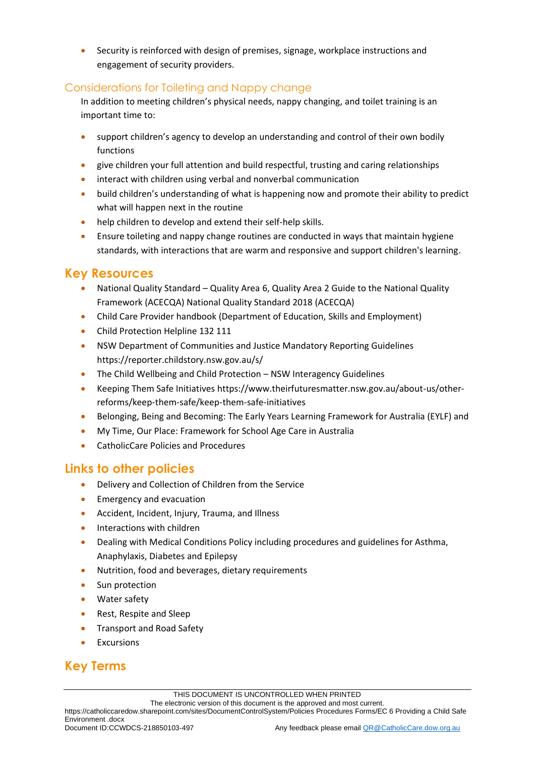Security is reinforced with design of premises, signage, workplace instructions and engagement of security providers.

#### Considerations for Toileting and Nappy change

In addition to meeting children's physical needs, nappy changing, and toilet training is an important time to:

- support children's agency to develop an understanding and control of their own bodily functions
- give children your full attention and build respectful, trusting and caring relationships
- interact with children using verbal and nonverbal communication
- build children's understanding of what is happening now and promote their ability to predict what will happen next in the routine
- help children to develop and extend their self-help skills.
- Ensure toileting and nappy change routines are conducted in ways that maintain hygiene standards, with interactions that are warm and responsive and support children's learning.

## **Key Resources**

- National Quality Standard Quality Area 6, Quality Area 2 Guide to the National Quality Framework (ACECQA) National Quality Standard 2018 (ACECQA)
- Child Care Provider handbook (Department of Education, Skills and Employment)
- Child Protection Helpline 132 111
- NSW Department of Communities and Justice Mandatory Reporting Guidelines https://reporter.childstory.nsw.gov.au/s/
- The Child Wellbeing and Child Protection [NSW Interagency Guidelines](https://www.facs.nsw.gov.au/providers/children-families/interagency-guidelines)
- Keeping Them Safe Initiatives [https://www.theirfuturesmatter.nsw.gov.au/about-us/other](https://www.theirfuturesmatter.nsw.gov.au/about-us/other-reforms/keep-them-safe/keep-them-safe-initiatives)[reforms/keep-them-safe/keep-them-safe-initiatives](https://www.theirfuturesmatter.nsw.gov.au/about-us/other-reforms/keep-them-safe/keep-them-safe-initiatives)
- Belonging, Being and Becoming: The Early Years Learning Framework for Australia (EYLF) and
- My Time, Our Place: Framework for School Age Care in Australia
- CatholicCare Policies and Procedures

## **Links to other policies**

- Delivery and Collection of Children from the Service
- Emergency and evacuation
- Accident, Incident, Injury, Trauma, and Illness
- Interactions with children
- Dealing with Medical Conditions Policy including procedures and guidelines for Asthma, Anaphylaxis, Diabetes and Epilepsy
- Nutrition, food and beverages, dietary requirements
- Sun protection
- Water safety
- Rest, Respite and Sleep
- Transport and Road Safety
- Excursions

# **Key Terms**

https://catholiccaredow.sharepoint.com/sites/DocumentControlSystem/Policies Procedures Forms/EC 6 Providing a Child Safe Environment .docx<br>Document ID:CCWDCS-218850103-497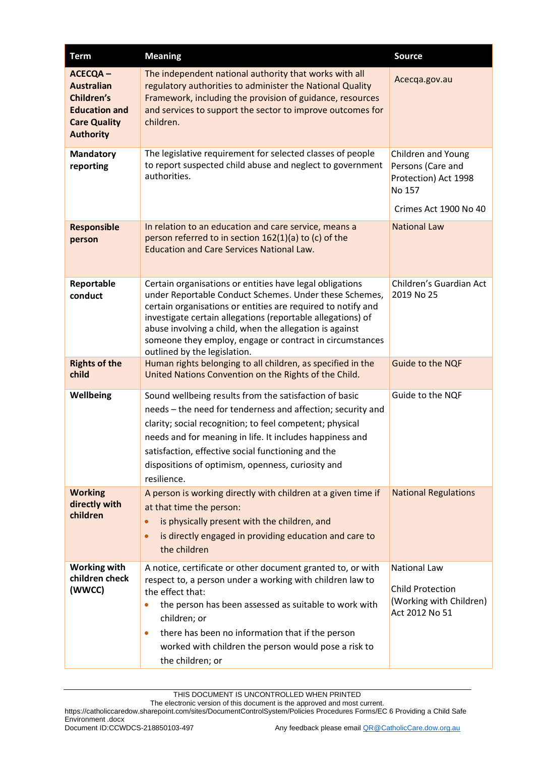| <b>Term</b>                                                                                                          | <b>Meaning</b>                                                                                                                                                                                                                                                                                                                                                                                           | <b>Source</b>                                                                                             |
|----------------------------------------------------------------------------------------------------------------------|----------------------------------------------------------------------------------------------------------------------------------------------------------------------------------------------------------------------------------------------------------------------------------------------------------------------------------------------------------------------------------------------------------|-----------------------------------------------------------------------------------------------------------|
| <b>ACECQA-</b><br><b>Australian</b><br>Children's<br><b>Education and</b><br><b>Care Quality</b><br><b>Authority</b> | The independent national authority that works with all<br>regulatory authorities to administer the National Quality<br>Framework, including the provision of guidance, resources<br>and services to support the sector to improve outcomes for<br>children.                                                                                                                                              | Acecqa.gov.au                                                                                             |
| <b>Mandatory</b><br>reporting                                                                                        | The legislative requirement for selected classes of people<br>to report suspected child abuse and neglect to government<br>authorities.                                                                                                                                                                                                                                                                  | <b>Children and Young</b><br>Persons (Care and<br>Protection) Act 1998<br>No 157<br>Crimes Act 1900 No 40 |
| <b>Responsible</b><br>person                                                                                         | In relation to an education and care service, means a<br>person referred to in section 162(1)(a) to (c) of the<br><b>Education and Care Services National Law.</b>                                                                                                                                                                                                                                       | <b>National Law</b>                                                                                       |
| Reportable<br>conduct                                                                                                | Certain organisations or entities have legal obligations<br>under Reportable Conduct Schemes. Under these Schemes,<br>certain organisations or entities are required to notify and<br>investigate certain allegations (reportable allegations) of<br>abuse involving a child, when the allegation is against<br>someone they employ, engage or contract in circumstances<br>outlined by the legislation. | Children's Guardian Act<br>2019 No 25                                                                     |
| <b>Rights of the</b><br>child                                                                                        | Human rights belonging to all children, as specified in the<br>United Nations Convention on the Rights of the Child.                                                                                                                                                                                                                                                                                     | Guide to the NQF                                                                                          |
| Wellbeing                                                                                                            | Sound wellbeing results from the satisfaction of basic<br>needs - the need for tenderness and affection; security and<br>clarity; social recognition; to feel competent; physical<br>needs and for meaning in life. It includes happiness and<br>satisfaction, effective social functioning and the<br>dispositions of optimism, openness, curiosity and<br>resilience.                                  | Guide to the NQF                                                                                          |
| <b>Working</b><br>directly with<br>children                                                                          | A person is working directly with children at a given time if<br>at that time the person:<br>is physically present with the children, and<br>$\bullet$<br>is directly engaged in providing education and care to<br>$\bullet$<br>the children                                                                                                                                                            | <b>National Regulations</b>                                                                               |
| <b>Working with</b><br>children check<br>(WWCC)                                                                      | A notice, certificate or other document granted to, or with<br>respect to, a person under a working with children law to<br>the effect that:<br>the person has been assessed as suitable to work with<br>$\bullet$<br>children; or<br>there has been no information that if the person<br>$\bullet$<br>worked with children the person would pose a risk to<br>the children; or                          | <b>National Law</b><br><b>Child Protection</b><br>(Working with Children)<br>Act 2012 No 51               |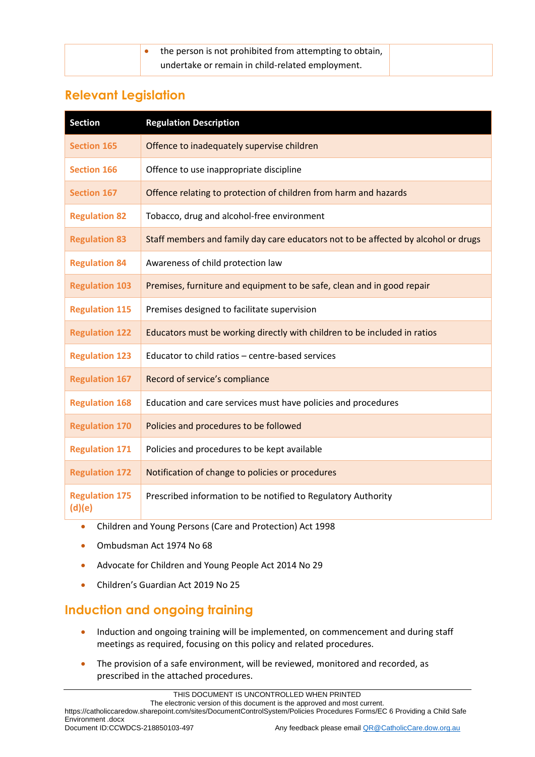| the person is not prohibited from attempting to obtain, |  |
|---------------------------------------------------------|--|
| undertake or remain in child-related employment.        |  |

## **Relevant Legislation**

| <b>Section</b>                  | <b>Regulation Description</b>                                                      |
|---------------------------------|------------------------------------------------------------------------------------|
| <b>Section 165</b>              | Offence to inadequately supervise children                                         |
| <b>Section 166</b>              | Offence to use inappropriate discipline                                            |
| <b>Section 167</b>              | Offence relating to protection of children from harm and hazards                   |
| <b>Regulation 82</b>            | Tobacco, drug and alcohol-free environment                                         |
| <b>Regulation 83</b>            | Staff members and family day care educators not to be affected by alcohol or drugs |
| <b>Regulation 84</b>            | Awareness of child protection law                                                  |
| <b>Regulation 103</b>           | Premises, furniture and equipment to be safe, clean and in good repair             |
| <b>Regulation 115</b>           | Premises designed to facilitate supervision                                        |
| <b>Regulation 122</b>           | Educators must be working directly with children to be included in ratios          |
| <b>Regulation 123</b>           | Educator to child ratios - centre-based services                                   |
| <b>Regulation 167</b>           | Record of service's compliance                                                     |
| <b>Regulation 168</b>           | Education and care services must have policies and procedures                      |
| <b>Regulation 170</b>           | Policies and procedures to be followed                                             |
| <b>Regulation 171</b>           | Policies and procedures to be kept available                                       |
| <b>Regulation 172</b>           | Notification of change to policies or procedures                                   |
| <b>Regulation 175</b><br>(d)(e) | Prescribed information to be notified to Regulatory Authority                      |

- Children and Young Persons (Care and Protection) Act 1998
- Ombudsman Act 1974 No 68
- Advocate for Children and Young People Act 2014 No 29
- Children's Guardian Act 2019 No 25

# **Induction and ongoing training**

- Induction and ongoing training will be implemented, on commencement and during staff meetings as required, focusing on this policy and related procedures.
- The provision of a safe environment, will be reviewed, monitored and recorded, as prescribed in the attached procedures.